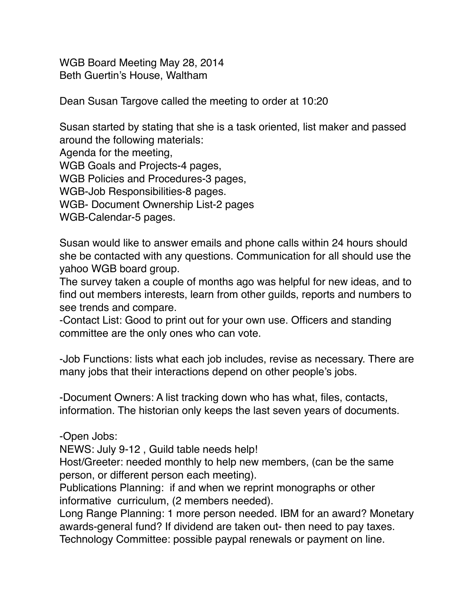WGB Board Meeting May 28, 2014 Beth Guertin's House, Waltham

Dean Susan Targove called the meeting to order at 10:20

Susan started by stating that she is a task oriented, list maker and passed around the following materials:

Agenda for the meeting,

WGB Goals and Projects-4 pages,

WGB Policies and Procedures-3 pages,

WGB-Job Responsibilities-8 pages.

WGB- Document Ownership List-2 pages

WGB-Calendar-5 pages.

Susan would like to answer emails and phone calls within 24 hours should she be contacted with any questions. Communication for all should use the yahoo WGB board group.

The survey taken a couple of months ago was helpful for new ideas, and to find out members interests, learn from other guilds, reports and numbers to see trends and compare.

-Contact List: Good to print out for your own use. Officers and standing committee are the only ones who can vote.

-Job Functions: lists what each job includes, revise as necessary. There are many jobs that their interactions depend on other people's jobs.

-Document Owners: A list tracking down who has what, files, contacts, information. The historian only keeps the last seven years of documents.

-Open Jobs:

NEWS: July 9-12 , Guild table needs help!

Host/Greeter: needed monthly to help new members, (can be the same person, or different person each meeting).

Publications Planning: if and when we reprint monographs or other informative curriculum, (2 members needed).

Long Range Planning: 1 more person needed. IBM for an award? Monetary awards-general fund? If dividend are taken out- then need to pay taxes. Technology Committee: possible paypal renewals or payment on line.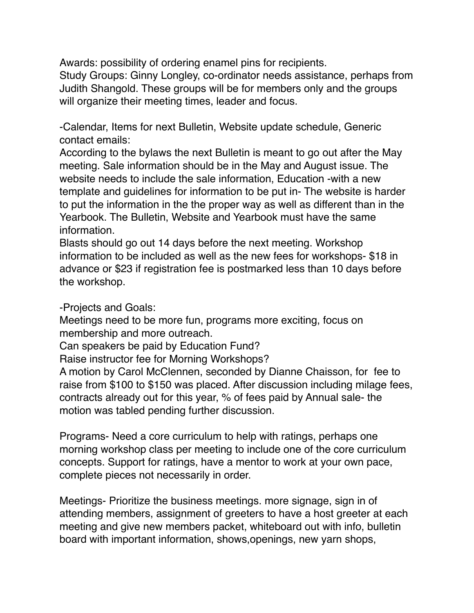Awards: possibility of ordering enamel pins for recipients.

Study Groups: Ginny Longley, co-ordinator needs assistance, perhaps from Judith Shangold. These groups will be for members only and the groups will organize their meeting times, leader and focus.

-Calendar, Items for next Bulletin, Website update schedule, Generic contact emails:

According to the bylaws the next Bulletin is meant to go out after the May meeting. Sale information should be in the May and August issue. The website needs to include the sale information, Education -with a new template and guidelines for information to be put in- The website is harder to put the information in the the proper way as well as different than in the Yearbook. The Bulletin, Website and Yearbook must have the same information.

Blasts should go out 14 days before the next meeting. Workshop information to be included as well as the new fees for workshops- \$18 in advance or \$23 if registration fee is postmarked less than 10 days before the workshop.

-Projects and Goals:

Meetings need to be more fun, programs more exciting, focus on membership and more outreach.

Can speakers be paid by Education Fund?

Raise instructor fee for Morning Workshops?

A motion by Carol McClennen, seconded by Dianne Chaisson, for fee to raise from \$100 to \$150 was placed. After discussion including milage fees, contracts already out for this year, % of fees paid by Annual sale- the motion was tabled pending further discussion.

Programs- Need a core curriculum to help with ratings, perhaps one morning workshop class per meeting to include one of the core curriculum concepts. Support for ratings, have a mentor to work at your own pace, complete pieces not necessarily in order.

Meetings- Prioritize the business meetings. more signage, sign in of attending members, assignment of greeters to have a host greeter at each meeting and give new members packet, whiteboard out with info, bulletin board with important information, shows,openings, new yarn shops,